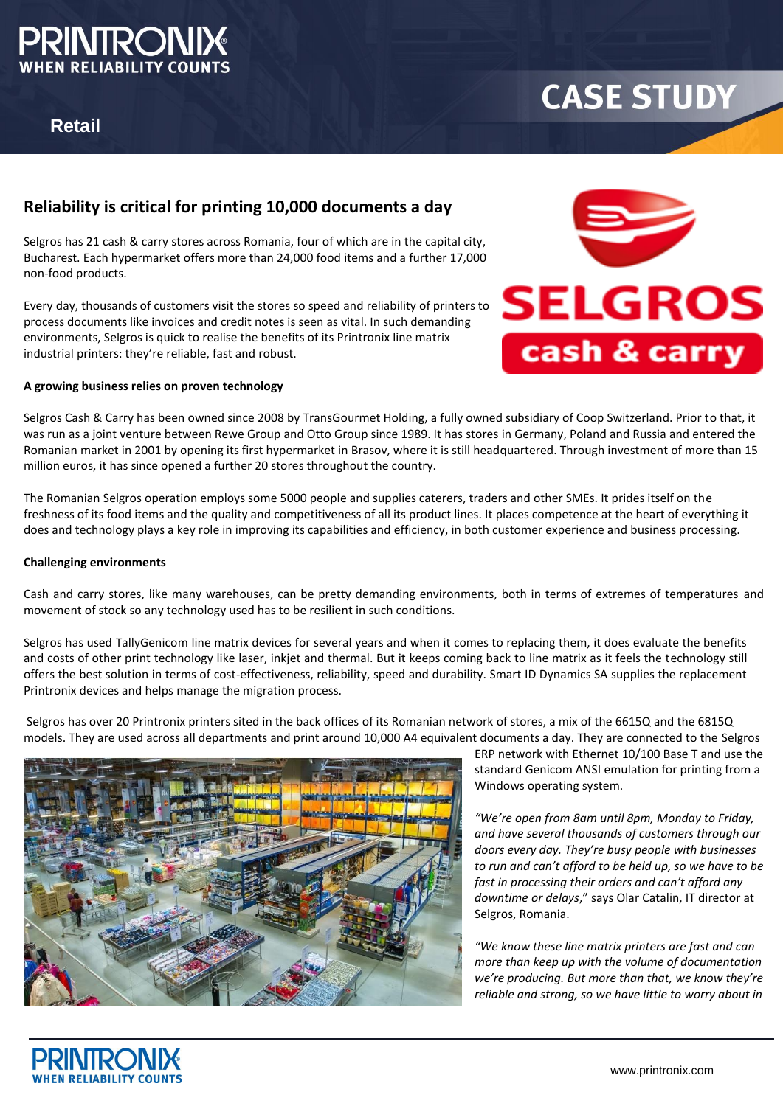

## **Retail**

# **CASE STUDY**

### **Reliability is critical for printing 10,000 documents a day**

Selgros has 21 cash & carry stores across Romania, four of which are in the capital city, Bucharest. Each hypermarket offers more than 24,000 food items and a further 17,000 non-food products.

Every day, thousands of customers visit the stores so speed and reliability of printers to process documents like invoices and credit notes is seen as vital. In such demanding environments, Selgros is quick to realise the benefits of its Printronix line matrix industrial printers: they're reliable, fast and robust.

#### **A growing business relies on proven technology**



Selgros Cash & Carry has been owned since 2008 by TransGourmet Holding, a fully owned subsidiary of Coop Switzerland. Prior to that, it was run as a joint venture between Rewe Group and Otto Group since 1989. It has stores in Germany, Poland and Russia and entered the Romanian market in 2001 by opening its first hypermarket in Brasov, where it is still headquartered. Through investment of more than 15 million euros, it has since opened a further 20 stores throughout the country.

The Romanian Selgros operation employs some 5000 people and supplies caterers, traders and other SMEs. It prides itself on the freshness of its food items and the quality and competitiveness of all its product lines. It places competence at the heart of everything it does and technology plays a key role in improving its capabilities and efficiency, in both customer experience and business processing.

#### **Challenging environments**

Cash and carry stores, like many warehouses, can be pretty demanding environments, both in terms of extremes of temperatures and movement of stock so any technology used has to be resilient in such conditions.

Selgros has used TallyGenicom line matrix devices for several years and when it comes to replacing them, it does evaluate the benefits and costs of other print technology like laser, inkjet and thermal. But it keeps coming back to line matrix as it feels the technology still offers the best solution in terms of cost-effectiveness, reliability, speed and durability. Smart ID Dynamics SA supplies the replacement Printronix devices and helps manage the migration process.

Selgros has over 20 Printronix printers sited in the back offices of its Romanian network of stores, a mix of the 6615Q and the 6815Q models. They are used across all departments and print around 10,000 A4 equivalent documents a day. They are connected to the Selgros



ERP network with Ethernet 10/100 Base T and use the standard Genicom ANSI emulation for printing from a Windows operating system.

*"We're open from 8am until 8pm, Monday to Friday, and have several thousands of customers through our doors every day. They're busy people with businesses to run and can't afford to be held up, so we have to be fast in processing their orders and can't afford any downtime or delays*," says Olar Catalin, IT director at Selgros, Romania.

*"We know these line matrix printers are fast and can more than keep up with the volume of documentation we're producing. But more than that, we know they're reliable and strong, so we have little to worry about in*